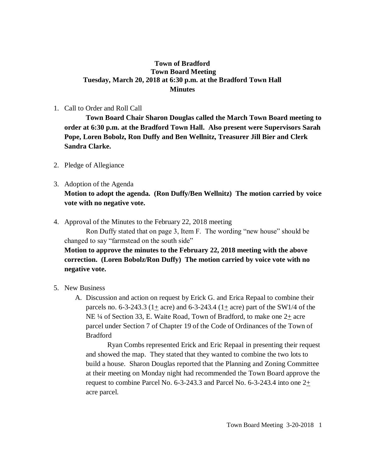### **Town of Bradford Town Board Meeting Tuesday, March 20, 2018 at 6:30 p.m. at the Bradford Town Hall Minutes**

#### 1. Call to Order and Roll Call

**Town Board Chair Sharon Douglas called the March Town Board meeting to order at 6:30 p.m. at the Bradford Town Hall. Also present were Supervisors Sarah Pope, Loren Bobolz, Ron Duffy and Ben Wellnitz, Treasurer Jill Bier and Clerk Sandra Clarke.**

- 2. Pledge of Allegiance
- 3. Adoption of the Agenda **Motion to adopt the agenda. (Ron Duffy/Ben Wellnitz) The motion carried by voice vote with no negative vote.**
- 4. Approval of the Minutes to the February 22, 2018 meeting

Ron Duffy stated that on page 3, Item F. The wording "new house" should be changed to say "farmstead on the south side"

**Motion to approve the minutes to the February 22, 2018 meeting with the above correction. (Loren Bobolz/Ron Duffy) The motion carried by voice vote with no negative vote.**

- 5. New Business
	- A. Discussion and action on request by Erick G. and Erica Repaal to combine their parcels no. 6-3-243.3 ( $1\pm$  acre) and 6-3-243.4 ( $1\pm$  acre) part of the SW1/4 of the NE  $\frac{1}{4}$  of Section 33, E. Waite Road, Town of Bradford, to make one  $2\pm$  acre parcel under Section 7 of Chapter 19 of the Code of Ordinances of the Town of Bradford

Ryan Combs represented Erick and Eric Repaal in presenting their request and showed the map. They stated that they wanted to combine the two lots to build a house. Sharon Douglas reported that the Planning and Zoning Committee at their meeting on Monday night had recommended the Town Board approve the request to combine Parcel No. 6-3-243.3 and Parcel No. 6-3-243.4 into one 2+ acre parcel.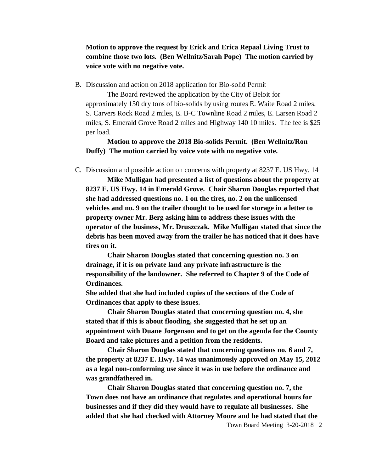## **Motion to approve the request by Erick and Erica Repaal Living Trust to combine those two lots. (Ben Wellnitz/Sarah Pope) The motion carried by voice vote with no negative vote.**

B. Discussion and action on 2018 application for Bio-solid Permit

The Board reviewed the application by the City of Beloit for approximately 150 dry tons of bio-solids by using routes E. Waite Road 2 miles, S. Carvers Rock Road 2 miles, E. B-C Townline Road 2 miles, E. Larsen Road 2 miles, S. Emerald Grove Road 2 miles and Highway 140 10 miles. The fee is \$25 per load.

**Motion to approve the 2018 Bio-solids Permit. (Ben Wellnitz/Ron Duffy) The motion carried by voice vote with no negative vote.**

C. Discussion and possible action on concerns with property at 8237 E. US Hwy. 14

**Mike Mulligan had presented a list of questions about the property at 8237 E. US Hwy. 14 in Emerald Grove. Chair Sharon Douglas reported that she had addressed questions no. 1 on the tires, no. 2 on the unlicensed vehicles and no. 9 on the trailer thought to be used for storage in a letter to property owner Mr. Berg asking him to address these issues with the operator of the business, Mr. Druszczak. Mike Mulligan stated that since the debris has been moved away from the trailer he has noticed that it does have tires on it.** 

**Chair Sharon Douglas stated that concerning question no. 3 on drainage, if it is on private land any private infrastructure is the responsibility of the landowner. She referred to Chapter 9 of the Code of Ordinances.**

**She added that she had included copies of the sections of the Code of Ordinances that apply to these issues.**

**Chair Sharon Douglas stated that concerning question no. 4, she stated that if this is about flooding, she suggested that he set up an appointment with Duane Jorgenson and to get on the agenda for the County Board and take pictures and a petition from the residents.**

**Chair Sharon Douglas stated that concerning questions no. 6 and 7, the property at 8237 E. Hwy. 14 was unanimously approved on May 15, 2012 as a legal non-conforming use since it was in use before the ordinance and was grandfathered in.** 

**Chair Sharon Douglas stated that concerning question no. 7, the Town does not have an ordinance that regulates and operational hours for businesses and if they did they would have to regulate all businesses. She added that she had checked with Attorney Moore and he had stated that the**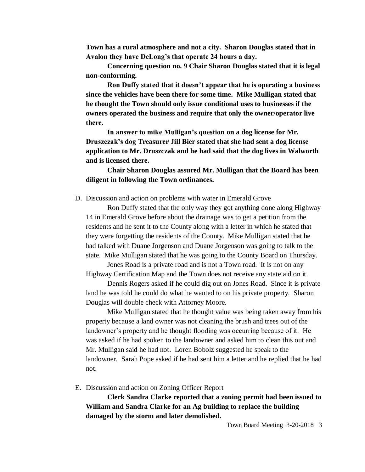**Town has a rural atmosphere and not a city. Sharon Douglas stated that in Avalon they have DeLong's that operate 24 hours a day.**

**Concerning question no. 9 Chair Sharon Douglas stated that it is legal non-conforming.**

**Ron Duffy stated that it doesn't appear that he is operating a business since the vehicles have been there for some time. Mike Mulligan stated that he thought the Town should only issue conditional uses to businesses if the owners operated the business and require that only the owner/operator live there.**

**In answer to mike Mulligan's question on a dog license for Mr. Druszczak's dog Treasurer Jill Bier stated that she had sent a dog license application to Mr. Druszczak and he had said that the dog lives in Walworth and is licensed there.** 

### **Chair Sharon Douglas assured Mr. Mulligan that the Board has been diligent in following the Town ordinances.**

D. Discussion and action on problems with water in Emerald Grove

Ron Duffy stated that the only way they got anything done along Highway 14 in Emerald Grove before about the drainage was to get a petition from the residents and he sent it to the County along with a letter in which he stated that they were forgetting the residents of the County. Mike Mulligan stated that he had talked with Duane Jorgenson and Duane Jorgenson was going to talk to the state. Mike Mulligan stated that he was going to the County Board on Thursday.

Jones Road is a private road and is not a Town road. It is not on any Highway Certification Map and the Town does not receive any state aid on it.

Dennis Rogers asked if he could dig out on Jones Road. Since it is private land he was told he could do what he wanted to on his private property. Sharon Douglas will double check with Attorney Moore.

Mike Mulligan stated that he thought value was being taken away from his property because a land owner was not cleaning the brush and trees out of the landowner's property and he thought flooding was occurring because of it. He was asked if he had spoken to the landowner and asked him to clean this out and Mr. Mulligan said he had not. Loren Bobolz suggested he speak to the landowner. Sarah Pope asked if he had sent him a letter and he replied that he had not.

E. Discussion and action on Zoning Officer Report

**Clerk Sandra Clarke reported that a zoning permit had been issued to William and Sandra Clarke for an Ag building to replace the building damaged by the storm and later demolished.**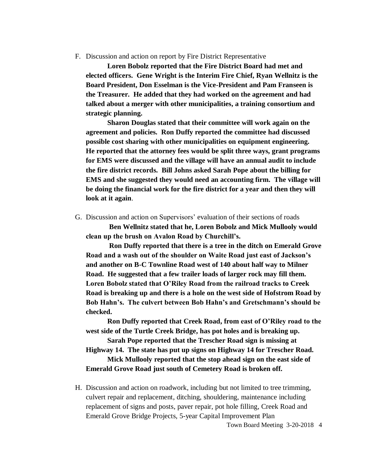F. Discussion and action on report by Fire District Representative

**Loren Bobolz reported that the Fire District Board had met and elected officers. Gene Wright is the Interim Fire Chief, Ryan Wellnitz is the Board President, Don Esselman is the Vice-President and Pam Franseen is the Treasurer. He added that they had worked on the agreement and had talked about a merger with other municipalities, a training consortium and strategic planning.** 

**Sharon Douglas stated that their committee will work again on the agreement and policies. Ron Duffy reported the committee had discussed possible cost sharing with other municipalities on equipment engineering. He reported that the attorney fees would be split three ways, grant programs for EMS were discussed and the village will have an annual audit to include the fire district records. Bill Johns asked Sarah Pope about the billing for EMS and she suggested they would need an accounting firm. The village will be doing the financial work for the fire district for a year and then they will look at it again**.

G. Discussion and action on Supervisors' evaluation of their sections of roads

**Ben Wellnitz stated that he, Loren Bobolz and Mick Mullooly would clean up the brush on Avalon Road by Churchill's.** 

**Ron Duffy reported that there is a tree in the ditch on Emerald Grove Road and a wash out of the shoulder on Waite Road just east of Jackson's and another on B-C Townline Road west of 140 about half way to Milner Road. He suggested that a few trailer loads of larger rock may fill them. Loren Bobolz stated that O'Riley Road from the railroad tracks to Creek Road is breaking up and there is a hole on the west side of Hofstrom Road by Bob Hahn's. The culvert between Bob Hahn's and Gretschmann's should be checked.**

**Ron Duffy reported that Creek Road, from east of O'Riley road to the west side of the Turtle Creek Bridge, has pot holes and is breaking up.**

**Sarah Pope reported that the Trescher Road sign is missing at Highway 14. The state has put up signs on Highway 14 for Trescher Road.**

**Mick Mullooly reported that the stop ahead sign on the east side of Emerald Grove Road just south of Cemetery Road is broken off.**

H. Discussion and action on roadwork, including but not limited to tree trimming, culvert repair and replacement, ditching, shouldering, maintenance including replacement of signs and posts, paver repair, pot hole filling, Creek Road and Emerald Grove Bridge Projects, 5-year Capital Improvement Plan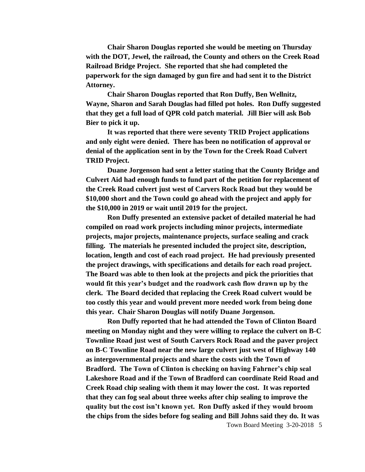**Chair Sharon Douglas reported she would be meeting on Thursday with the DOT, Jewel, the railroad, the County and others on the Creek Road Railroad Bridge Project. She reported that she had completed the paperwork for the sign damaged by gun fire and had sent it to the District Attorney.**

**Chair Sharon Douglas reported that Ron Duffy, Ben Wellnitz, Wayne, Sharon and Sarah Douglas had filled pot holes. Ron Duffy suggested that they get a full load of QPR cold patch material. Jill Bier will ask Bob Bier to pick it up.** 

**It was reported that there were seventy TRID Project applications and only eight were denied. There has been no notification of approval or denial of the application sent in by the Town for the Creek Road Culvert TRID Project.** 

**Duane Jorgenson had sent a letter stating that the County Bridge and Culvert Aid had enough funds to fund part of the petition for replacement of the Creek Road culvert just west of Carvers Rock Road but they would be \$10,000 short and the Town could go ahead with the project and apply for the \$10,000 in 2019 or wait until 2019 for the project.**

**Ron Duffy presented an extensive packet of detailed material he had compiled on road work projects including minor projects, intermediate projects, major projects, maintenance projects, surface sealing and crack filling. The materials he presented included the project site, description, location, length and cost of each road project. He had previously presented the project drawings, with specifications and details for each road project. The Board was able to then look at the projects and pick the priorities that would fit this year's budget and the roadwork cash flow drawn up by the clerk. The Board decided that replacing the Creek Road culvert would be too costly this year and would prevent more needed work from being done this year. Chair Sharon Douglas will notify Duane Jorgenson.**

**Ron Duffy reported that he had attended the Town of Clinton Board meeting on Monday night and they were willing to replace the culvert on B-C Townline Road just west of South Carvers Rock Road and the paver project on B-C Townline Road near the new large culvert just west of Highway 140 as intergovernmental projects and share the costs with the Town of Bradford. The Town of Clinton is checking on having Fahrner's chip seal Lakeshore Road and if the Town of Bradford can coordinate Reid Road and Creek Road chip sealing with them it may lower the cost. It was reported that they can fog seal about three weeks after chip sealing to improve the quality but the cost isn't known yet. Ron Duffy asked if they would broom the chips from the sides before fog sealing and Bill Johns said they do. It was**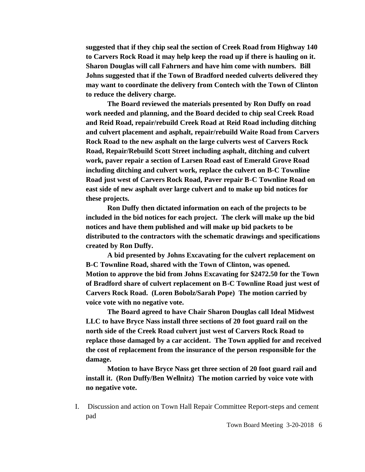**suggested that if they chip seal the section of Creek Road from Highway 140 to Carvers Rock Road it may help keep the road up if there is hauling on it. Sharon Douglas will call Fahrners and have him come with numbers. Bill Johns suggested that if the Town of Bradford needed culverts delivered they may want to coordinate the delivery from Contech with the Town of Clinton to reduce the delivery charge.** 

**The Board reviewed the materials presented by Ron Duffy on road work needed and planning, and the Board decided to chip seal Creek Road and Reid Road, repair/rebuild Creek Road at Reid Road including ditching and culvert placement and asphalt, repair/rebuild Waite Road from Carvers Rock Road to the new asphalt on the large culverts west of Carvers Rock Road, Repair/Rebuild Scott Street including asphalt, ditching and culvert work, paver repair a section of Larsen Road east of Emerald Grove Road including ditching and culvert work, replace the culvert on B-C Townline Road just west of Carvers Rock Road, Paver repair B-C Townline Road on east side of new asphalt over large culvert and to make up bid notices for these projects.**

**Ron Duffy then dictated information on each of the projects to be included in the bid notices for each project. The clerk will make up the bid notices and have them published and will make up bid packets to be distributed to the contractors with the schematic drawings and specifications created by Ron Duffy.**

**A bid presented by Johns Excavating for the culvert replacement on B-C Townline Road, shared with the Town of Clinton, was opened. Motion to approve the bid from Johns Excavating for \$2472.50 for the Town of Bradford share of culvert replacement on B-C Townline Road just west of Carvers Rock Road. (Loren Bobolz/Sarah Pope) The motion carried by voice vote with no negative vote.**

**The Board agreed to have Chair Sharon Douglas call Ideal Midwest LLC to have Bryce Nass install three sections of 20 foot guard rail on the north side of the Creek Road culvert just west of Carvers Rock Road to replace those damaged by a car accident. The Town applied for and received the cost of replacement from the insurance of the person responsible for the damage.**

**Motion to have Bryce Nass get three section of 20 foot guard rail and install it. (Ron Duffy/Ben Wellnitz) The motion carried by voice vote with no negative vote.**

I. Discussion and action on Town Hall Repair Committee Report-steps and cement pad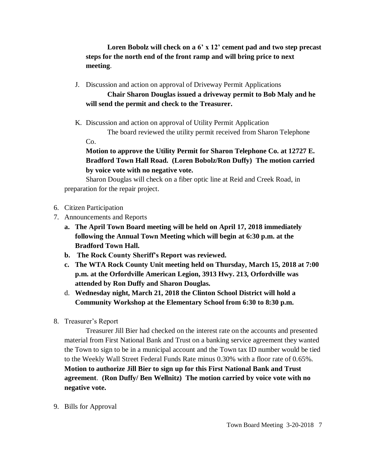**Loren Bobolz will check on a 6' x 12' cement pad and two step precast steps for the north end of the front ramp and will bring price to next meeting**.

J. Discussion and action on approval of Driveway Permit Applications

# **Chair Sharon Douglas issued a driveway permit to Bob Maly and he will send the permit and check to the Treasurer.**

K. Discussion and action on approval of Utility Permit Application

The board reviewed the utility permit received from Sharon Telephone

**Motion to approve the Utility Permit for Sharon Telephone Co. at 12727 E. Bradford Town Hall Road. (Loren Bobolz/Ron Duffy) The motion carried by voice vote with no negative vote.**

Sharon Douglas will check on a fiber optic line at Reid and Creek Road, in preparation for the repair project.

6. Citizen Participation

Co.

- 7. Announcements and Reports
	- **a. The April Town Board meeting will be held on April 17, 2018 immediately following the Annual Town Meeting which will begin at 6:30 p.m. at the Bradford Town Hall.**
	- **b. The Rock County Sheriff's Report was reviewed.**
	- **c. The WTA Rock County Unit meeting held on Thursday, March 15, 2018 at 7:00 p.m. at the Orfordville American Legion, 3913 Hwy. 213, Orfordville was attended by Ron Duffy and Sharon Douglas.**
	- d. **Wednesday night, March 21, 2018 the Clinton School District will hold a Community Workshop at the Elementary School from 6:30 to 8:30 p.m.**
- 8. Treasurer's Report

Treasurer Jill Bier had checked on the interest rate on the accounts and presented material from First National Bank and Trust on a banking service agreement they wanted the Town to sign to be in a municipal account and the Town tax ID number would be tied to the Weekly Wall Street Federal Funds Rate minus 0.30% with a floor rate of 0.65%. **Motion to authorize Jill Bier to sign up for this First National Bank and Trust agreement**. **(Ron Duffy/ Ben Wellnitz) The motion carried by voice vote with no negative vote.**

9. Bills for Approval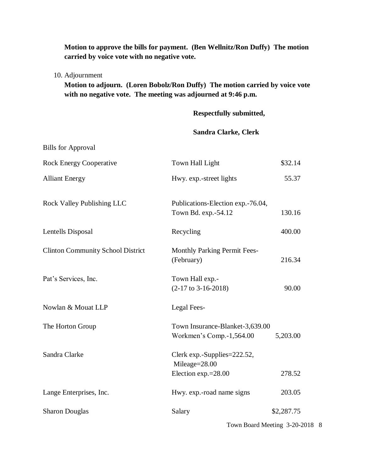**Motion to approve the bills for payment. (Ben Wellnitz/Ron Duffy) The motion carried by voice vote with no negative vote.**

10. Adjournment

**Motion to adjourn. (Loren Bobolz/Ron Duffy) The motion carried by voice vote with no negative vote. The meeting was adjourned at 9:46 p.m.**

**Respectfully submitted,**

## **Sandra Clarke, Clerk**

| <b>Bills for Approval</b>                |                                                             |            |
|------------------------------------------|-------------------------------------------------------------|------------|
| <b>Rock Energy Cooperative</b>           | Town Hall Light                                             | \$32.14    |
| <b>Alliant Energy</b>                    | Hwy. exp.-street lights                                     | 55.37      |
| <b>Rock Valley Publishing LLC</b>        | Publications-Election exp.-76.04,<br>Town Bd. exp.-54.12    | 130.16     |
| Lentells Disposal                        | Recycling                                                   | 400.00     |
| <b>Clinton Community School District</b> | <b>Monthly Parking Permit Fees-</b><br>(February)           | 216.34     |
| Pat's Services, Inc.                     | Town Hall exp.-<br>$(2-17$ to 3-16-2018)                    | 90.00      |
| Nowlan & Mouat LLP                       | Legal Fees-                                                 |            |
| The Horton Group                         | Town Insurance-Blanket-3,639.00<br>Workmen's Comp.-1,564.00 | 5,203.00   |
| Sandra Clarke                            | Clerk exp.-Supplies=222.52,<br>Mileage=28.00                |            |
|                                          | Election exp.=28.00                                         | 278.52     |
| Lange Enterprises, Inc.                  | Hwy. exp.-road name signs                                   | 203.05     |
| <b>Sharon Douglas</b>                    | Salary                                                      | \$2,287.75 |